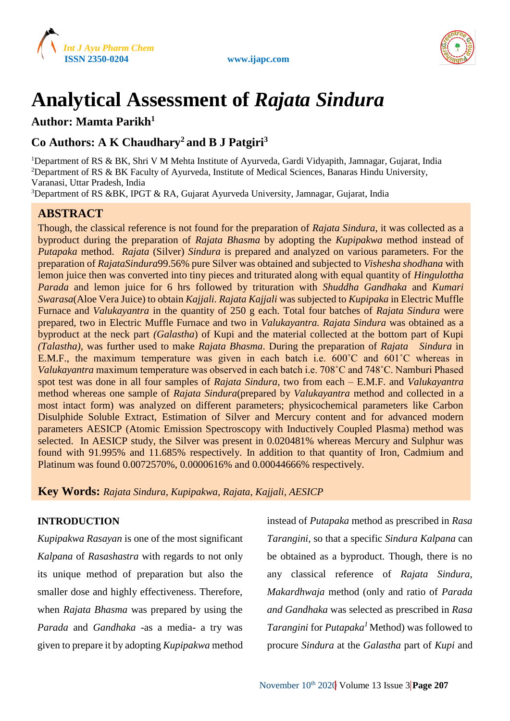



# **Analytical Assessment of** *Rajata Sindura*

# **Author: Mamta Parikh<sup>1</sup>**

# **Co Authors: A K Chaudhary<sup>2</sup> and B J Patgiri<sup>3</sup>**

<sup>1</sup>Department of RS & BK, Shri V M Mehta Institute of Ayurveda, Gardi Vidyapith, Jamnagar, Gujarat, India <sup>2</sup>Department of RS & BK Faculty of Ayurveda, Institute of Medical Sciences, Banaras Hindu University, Varanasi, Uttar Pradesh, India

<sup>3</sup>Department of RS &BK, IPGT & RA, Gujarat Ayurveda University, Jamnagar, Gujarat, India

# **ABSTRACT**

Though, the classical reference is not found for the preparation of *Rajata Sindura*, it was collected as a byproduct during the preparation of *Rajata Bhasma* by adopting the *Kupipakwa* method instead of *Putapaka* method. *Rajata* (Silver) *Sindura* is prepared and analyzed on various parameters. For the preparation of *RajataSindura*99.56% pure Silver was obtained and subjected to *Vishesha shodhana* with lemon juice then was converted into tiny pieces and triturated along with equal quantity of *Hingulottha Parada* and lemon juice for 6 hrs followed by trituration with *Shuddha Gandhaka* and *Kumari Swarasa*(Aloe Vera Juice) to obtain *Kajjali. Rajata Kajjali* was subjected to *Kupipaka* in Electric Muffle Furnace and *Valukayantra* in the quantity of 250 g each. Total four batches of *Rajata Sindura* were prepared, two in Electric Muffle Furnace and two in *Valukayantra. Rajata Sindura* was obtained as a byproduct at the neck part *(Galastha*) of Kupi and the material collected at the bottom part of Kupi *(Talastha),* was further used to make *Rajata Bhasma*. During the preparation of *Rajata Sindura* in E.M.F., the maximum temperature was given in each batch i.e. 600˚C and 601˚C whereas in *Valukayantra* maximum temperature was observed in each batch i.e. 708˚C and 748˚C. Namburi Phased spot test was done in all four samples of *Rajata Sindura,* two from each – E.M.F. and *Valukayantra* method whereas one sample of *Rajata Sindura*(prepared by *Valukayantra* method and collected in a most intact form) was analyzed on different parameters; physicochemical parameters like Carbon Disulphide Soluble Extract, Estimation of Silver and Mercury content and for advanced modern parameters AESICP (Atomic Emission Spectroscopy with Inductively Coupled Plasma) method was selected. In AESICP study, the Silver was present in 0.020481% whereas Mercury and Sulphur was found with 91.995% and 11.685% respectively. In addition to that quantity of Iron, Cadmium and Platinum was found 0.0072570%, 0.0000616% and 0.00044666% respectively.

**Key Words:** *Rajata Sindura, Kupipakwa, Rajata, Kajjali, AESICP*

# **INTRODUCTION**

*Kupipakwa Rasayan* is one of the most significant *Kalpana* of *Rasashastra* with regards to not only its unique method of preparation but also the smaller dose and highly effectiveness. Therefore, when *Rajata Bhasma* was prepared by using the *Parada* and *Gandhaka* -as a media- a try was given to prepare it by adopting *Kupipakwa* method instead of *Putapaka* method as prescribed in *Rasa Tarangini,* so that a specific *Sindura Kalpana* can be obtained as a byproduct. Though, there is no any classical reference of *Rajata Sindura, Makardhwaja* method (only and ratio of *Parada and Gandhaka* was selected as prescribed in *Rasa Tarangini* for *Putapaka<sup>1</sup>* Method) was followed to procure *Sindura* at the *Galastha* part of *Kupi* and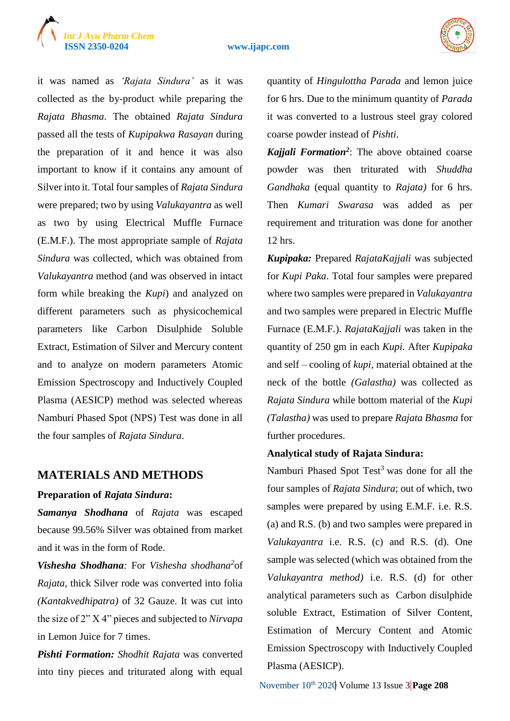# *Int J Ayu Pharm Chem*

#### **ISSN 2350-0204 www.ijapc.com**



it was named as *'Rajata Sindura'* as it was collected as the by-product while preparing the *Rajata Bhasma*. The obtained *Rajata Sindura*  passed all the tests of *Kupipakwa Rasayan* during the preparation of it and hence it was also important to know if it contains any amount of Silver into it. Total four samples of *Rajata Sindura*  were prepared; two by using *Valukayantra* as well as two by using Electrical Muffle Furnace (E.M.F.). The most appropriate sample of *Rajata Sindura* was collected, which was obtained from *Valukayantra* method (and was observed in intact form while breaking the *Kupi*) and analyzed on different parameters such as physicochemical parameters like Carbon Disulphide Soluble Extract, Estimation of Silver and Mercury content and to analyze on modern parameters Atomic Emission Spectroscopy and Inductively Coupled Plasma (AESICP) method was selected whereas Namburi Phased Spot (NPS) Test was done in all the four samples of *Rajata Sindura*.

# **MATERIALS AND METHODS**

#### **Preparation of** *Rajata Sindura***:**

*Samanya Shodhana* of *Rajata* was escaped because 99.56% Silver was obtained from market and it was in the form of Rode.

*Vishesha Shodhana:* For *Vishesha shodhana<sup>2</sup>* of *Rajata*, thick Silver rode was converted into folia *(Kantakvedhipatra)* of 32 Gauze. It was cut into the size of 2" X 4" pieces and subjected to *Nirvapa* in Lemon Juice for 7 times.

*Pishti Formation: Shodhit Rajata* was converted into tiny pieces and triturated along with equal quantity of *Hingulottha Parada* and lemon juice for 6 hrs. Due to the minimum quantity of *Parada* it was converted to a lustrous steel gray colored coarse powder instead of *Pishti*.

*Kajjali Formation<sup>2</sup>* : The above obtained coarse powder was then triturated with *Shuddha Gandhaka* (equal quantity to *Rajata)* for 6 hrs. Then *Kumari Swarasa* was added as per requirement and trituration was done for another 12 hrs.

*Kupipaka:* Prepared *RajataKajjali* was subjected for *Kupi Paka*. Total four samples were prepared where two samples were prepared in *Valukayantra* and two samples were prepared in Electric Muffle Furnace (E.M.F.). *RajataKajjali* was taken in the quantity of 250 gm in each *Kupi.* After *Kupipaka* and self – cooling of *kupi,* material obtained at the neck of the bottle *(Galastha)* was collected as *Rajata Sindura* while bottom material of the *Kupi (Talastha)* was used to prepare *Rajata Bhasma* for further procedures.

#### **Analytical study of Rajata Sindura:**

Namburi Phased Spot Test<sup>3</sup> was done for all the four samples of *Rajata Sindura*; out of which, two samples were prepared by using E.M.F. i.e. R.S. (a) and R.S. (b) and two samples were prepared in *Valukayantra* i.e. R.S. (c) and R.S. (d). One sample was selected (which was obtained from the *Valukayantra method)* i.e. R.S. (d) for other analytical parameters such as Carbon disulphide soluble Extract, Estimation of Silver Content, Estimation of Mercury Content and Atomic Emission Spectroscopy with Inductively Coupled Plasma (AESICP).

November 10<sup>th</sup> 2020 Volume 13 Issue 3 **Page 208**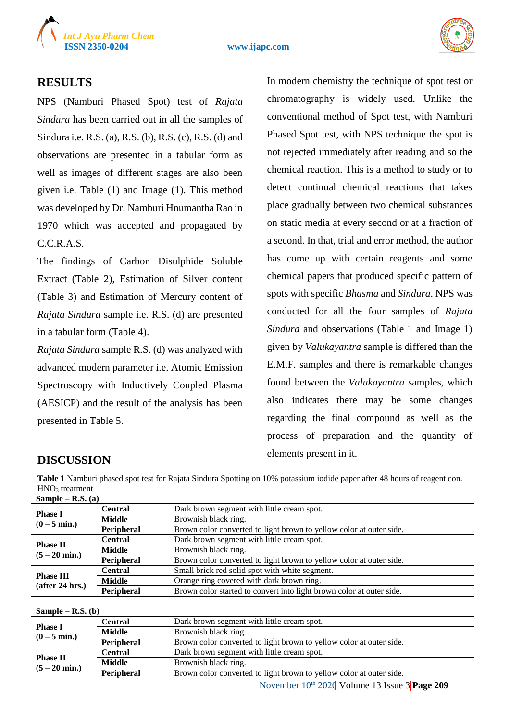

#### **ISSN 2350-0204 www.ijapc.com**



#### **RESULTS**

NPS (Namburi Phased Spot) test of *Rajata Sindura* has been carried out in all the samples of Sindura i.e. R.S. (a), R.S. (b), R.S. (c), R.S. (d) and observations are presented in a tabular form as well as images of different stages are also been given i.e. Table (1) and Image (1). This method was developed by Dr. Namburi Hnumantha Rao in 1970 which was accepted and propagated by C.C.R.A.S.

The findings of Carbon Disulphide Soluble Extract (Table 2), Estimation of Silver content (Table 3) and Estimation of Mercury content of *Rajata Sindura* sample i.e. R.S. (d) are presented in a tabular form (Table 4).

*Rajata Sindura* sample R.S. (d) was analyzed with advanced modern parameter i.e. Atomic Emission Spectroscopy with Inductively Coupled Plasma (AESICP) and the result of the analysis has been presented in Table 5.

In modern chemistry the technique of spot test or chromatography is widely used. Unlike the conventional method of Spot test, with Namburi Phased Spot test, with NPS technique the spot is not rejected immediately after reading and so the chemical reaction. This is a method to study or to detect continual chemical reactions that takes place gradually between two chemical substances on static media at every second or at a fraction of a second. In that, trial and error method, the author has come up with certain reagents and some chemical papers that produced specific pattern of spots with specific *Bhasma* and *Sindura*. NPS was conducted for all the four samples of *Rajata Sindura* and observations (Table 1 and Image 1) given by *Valukayantra* sample is differed than the E.M.F. samples and there is remarkable changes found between the *Valukayantra* samples, which also indicates there may be some changes regarding the final compound as well as the process of preparation and the quantity of elements present in it.

# **DISCUSSION**

**Table 1** Namburi phased spot test for Rajata Sindura Spotting on 10% potassium iodide paper after 48 hours of reagent con. HNO<sup>3</sup> treatment **Sample – R.S. (a)**

| <b>Phase I</b><br>$(0 - 5$ min.)    | <b>Central</b>                                             | Dark brown segment with little cream spot.                           |
|-------------------------------------|------------------------------------------------------------|----------------------------------------------------------------------|
|                                     | <b>Middle</b>                                              | Brownish black ring.                                                 |
|                                     | Peripheral                                                 | Brown color converted to light brown to yellow color at outer side.  |
|                                     | <b>Central</b>                                             | Dark brown segment with little cream spot.                           |
| <b>Phase II</b>                     | <b>Middle</b>                                              | Brownish black ring.                                                 |
| $(5 - 20$ min.)                     | Peripheral                                                 | Brown color converted to light brown to yellow color at outer side.  |
|                                     | <b>Central</b>                                             | Small brick red solid spot with white segment.                       |
| <b>Phase III</b><br>(after 24 hrs.) | Orange ring covered with dark brown ring.<br><b>Middle</b> |                                                                      |
|                                     | Peripheral                                                 | Brown color started to convert into light brown color at outer side. |
|                                     |                                                            |                                                                      |

#### **Sample – R.S. (b)**

|                         | Central        | Dark brown segment with little cream spot.                          |
|-------------------------|----------------|---------------------------------------------------------------------|
| <b>Phase I</b>          | <b>Middle</b>  | Brownish black ring.                                                |
| $(0 - 5$ min.)          | Peripheral     | Brown color converted to light brown to yellow color at outer side. |
| <b>Phase II</b>         | <b>Central</b> | Dark brown segment with little cream spot.                          |
| $(5 - 20 \text{ min.})$ | <b>Middle</b>  | Brownish black ring.                                                |
|                         | Peripheral     | Brown color converted to light brown to yellow color at outer side. |
|                         |                |                                                                     |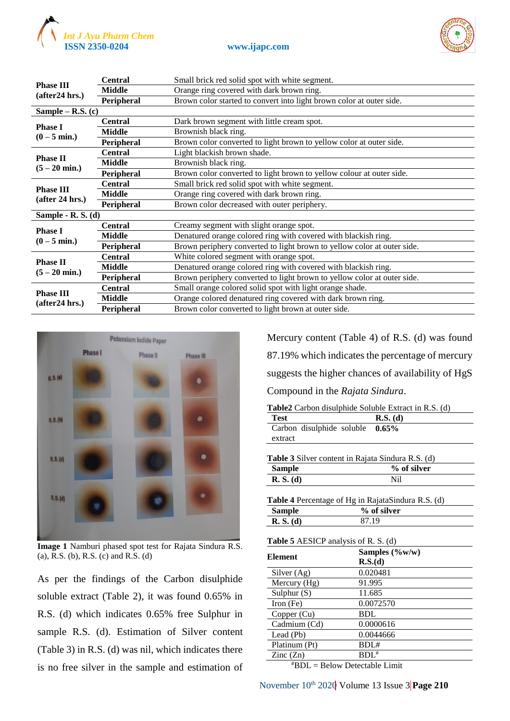



| <b>Phase III</b>        | <b>Central</b>    | Small brick red solid spot with white segment.                          |
|-------------------------|-------------------|-------------------------------------------------------------------------|
| (after24 hrs.)          | Middle            | Orange ring covered with dark brown ring.                               |
|                         | Peripheral        | Brown color started to convert into light brown color at outer side.    |
| Sample – R.S. $(c)$     |                   |                                                                         |
| <b>Phase I</b>          | <b>Central</b>    | Dark brown segment with little cream spot.                              |
| $(0 - 5$ min.)          | Middle            | Brownish black ring.                                                    |
|                         | <b>Peripheral</b> | Brown color converted to light brown to yellow color at outer side.     |
|                         | <b>Central</b>    | Light blackish brown shade.                                             |
| <b>Phase II</b>         | <b>Middle</b>     | Brownish black ring.                                                    |
| $(5 - 20$ min.)         | Peripheral        | Brown color converted to light brown to yellow colour at outer side.    |
| <b>Phase III</b>        | <b>Central</b>    | Small brick red solid spot with white segment.                          |
| (after 24 hrs.)         | Middle            | Orange ring covered with dark brown ring.                               |
|                         | <b>Peripheral</b> | Brown color decreased with outer periphery.                             |
| Sample - R. S. $(d)$    |                   |                                                                         |
| <b>Phase I</b>          | <b>Central</b>    | Creamy segment with slight orange spot.                                 |
| $(0 - 5$ min.)          | <b>Middle</b>     | Denatured orange colored ring with covered with blackish ring.          |
|                         | Peripheral        | Brown periphery converted to light brown to yellow color at outer side. |
| <b>Phase II</b>         | <b>Central</b>    | White colored segment with orange spot.                                 |
| $(5 - 20 \text{ min.})$ | Middle            | Denatured orange colored ring with covered with blackish ring.          |
|                         | Peripheral        | Brown periphery converted to light brown to yellow color at outer side. |
| <b>Phase III</b>        | <b>Central</b>    | Small orange colored solid spot with light orange shade.                |
| (after24 hrs.)          | <b>Middle</b>     | Orange colored denatured ring covered with dark brown ring.             |
|                         | Peripheral        | Brown color converted to light brown at outer side.                     |



**Image 1** Namburi phased spot test for Rajata Sindura R.S. (a), R.S. (b), R.S. (c) and R.S. (d)

As per the findings of the Carbon disulphide soluble extract (Table 2), it was found 0.65% in R.S. (d) which indicates 0.65% free Sulphur in sample R.S. (d). Estimation of Silver content (Table 3) in R.S. (d) was nil, which indicates there is no free silver in the sample and estimation of

Mercury content (Table 4) of R.S. (d) was found 87.19% which indicates the percentage of mercury suggests the higher chances of availability of HgS Compound in the *Rajata Sindura*.

| <b>Table2</b> Carbon disulphide Soluble Extract in R.S. (d) |  |
|-------------------------------------------------------------|--|
|-------------------------------------------------------------|--|

| <b>Test</b>                        | $R.S.$ (d) |
|------------------------------------|------------|
| Carbon disulphide soluble $0.65\%$ |            |
| extract                            |            |
| <b>THIS ACT</b>                    |            |

|           | Table 3 Silver content in Rajata Sindura R.S. (d) |
|-----------|---------------------------------------------------|
| Sample    | % of silver                                       |
| R. S. (d) | Nil                                               |
|           |                                                   |

|           | <b>Table 4</b> Percentage of Hg in RajataSindura R.S. (d) |
|-----------|-----------------------------------------------------------|
| Sample    | % of silver                                               |
| R. S. (d) | 87.19                                                     |

| <b>Element</b>           | Samples $(\%w/w)$                |
|--------------------------|----------------------------------|
|                          | R.S.(d)                          |
| Silver (Ag)              | 0.020481                         |
| Mercury (Hg)             | 91.995                           |
| Sulphur $(S)$            | 11.685                           |
| Iron (Fe)                | 0.0072570                        |
| Copper (Cu)              | <b>BDL</b>                       |
| Cadmium (Cd)             | 0.0000616                        |
| Lead (Pb)                | 0.0044666                        |
| Platinum (Pt)            | BDI#                             |
| $\text{Zinc}(\text{Zn})$ | $BDL^*$                          |
|                          | $*$ BDL = Below Detectable Limit |

November 10<sup>th</sup> 2020 Volume 13 Issue 3 Page 210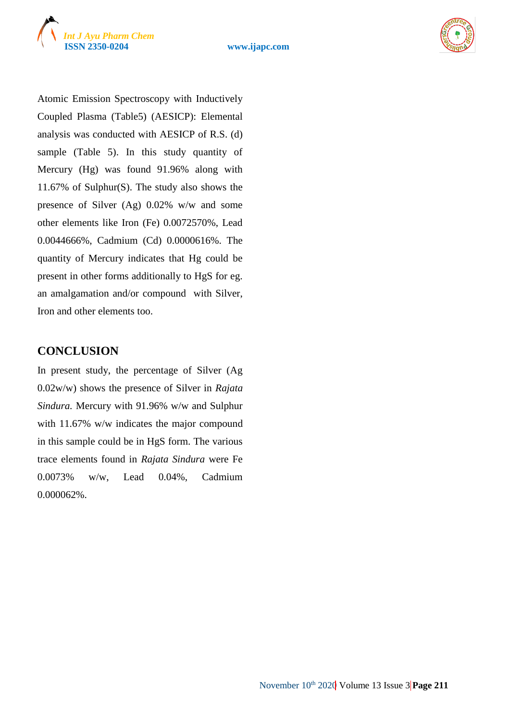



Atomic Emission Spectroscopy with Inductively Coupled Plasma (Table5) (AESICP): Elemental analysis was conducted with AESICP of R.S. (d) sample (Table 5). In this study quantity of Mercury (Hg) was found 91.96% along with 11.67% of Sulphur(S). The study also shows the presence of Silver (Ag) 0.02% w/w and some other elements like Iron (Fe) 0.0072570%, Lead 0.0044666%, Cadmium (Cd) 0.0000616%. The quantity of Mercury indicates that Hg could be present in other forms additionally to HgS for eg. an amalgamation and/or compound with Silver, Iron and other elements too.

# **CONCLUSION**

In present study, the percentage of Silver (Ag 0.02w/w) shows the presence of Silver in *Rajata Sindura.* Mercury with 91.96% w/w and Sulphur with 11.67% w/w indicates the major compound in this sample could be in HgS form. The various trace elements found in *Rajata Sindura* were Fe 0.0073% w/w, Lead 0.04%, Cadmium 0.000062%.